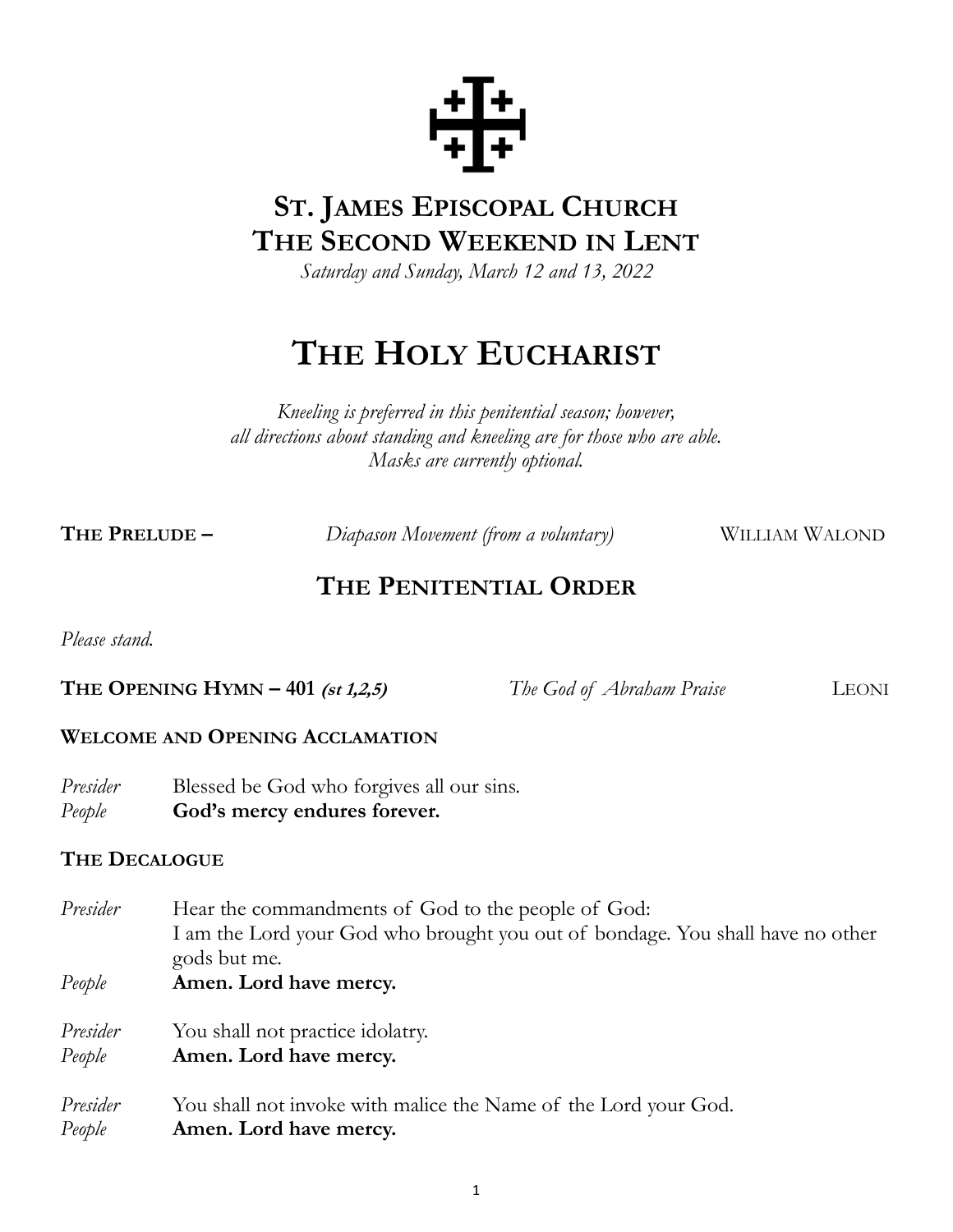

# **ST. JAMES EPISCOPAL CHURCH THE SECOND WEEKEND IN LENT**

*Saturday and Sunday, March 12 and 13, 2022*

# **THE HOLY EUCHARIST**

*Kneeling is preferred in this penitential season; however, all directions about standing and kneeling are for those who are able. Masks are currently optional.*

**THE PRELUDE** – *Diapason Movement (from a voluntary)* WILLIAM WALOND

# **THE PENITENTIAL ORDER**

*Please stand.*

**THE OPENING HYMN – 401 (st 1,2,5)** *The God of Abraham Praise LEONI* 

#### **WELCOME AND OPENING ACCLAMATION**

*Presider* Blessed be God who forgives all our sins. *People* **God's mercy endures forever.**

#### **THE DECALOGUE**

- *Presider* Hear the commandments of God to the people of God: I am the Lord your God who brought you out of bondage. You shall have no other gods but me.
- *People* **Amen. Lord have mercy.**

*Presider* You shall not practice idolatry.

*People* **Amen. Lord have mercy.**

Presider You shall not invoke with malice the Name of the Lord your God. *People* **Amen. Lord have mercy.**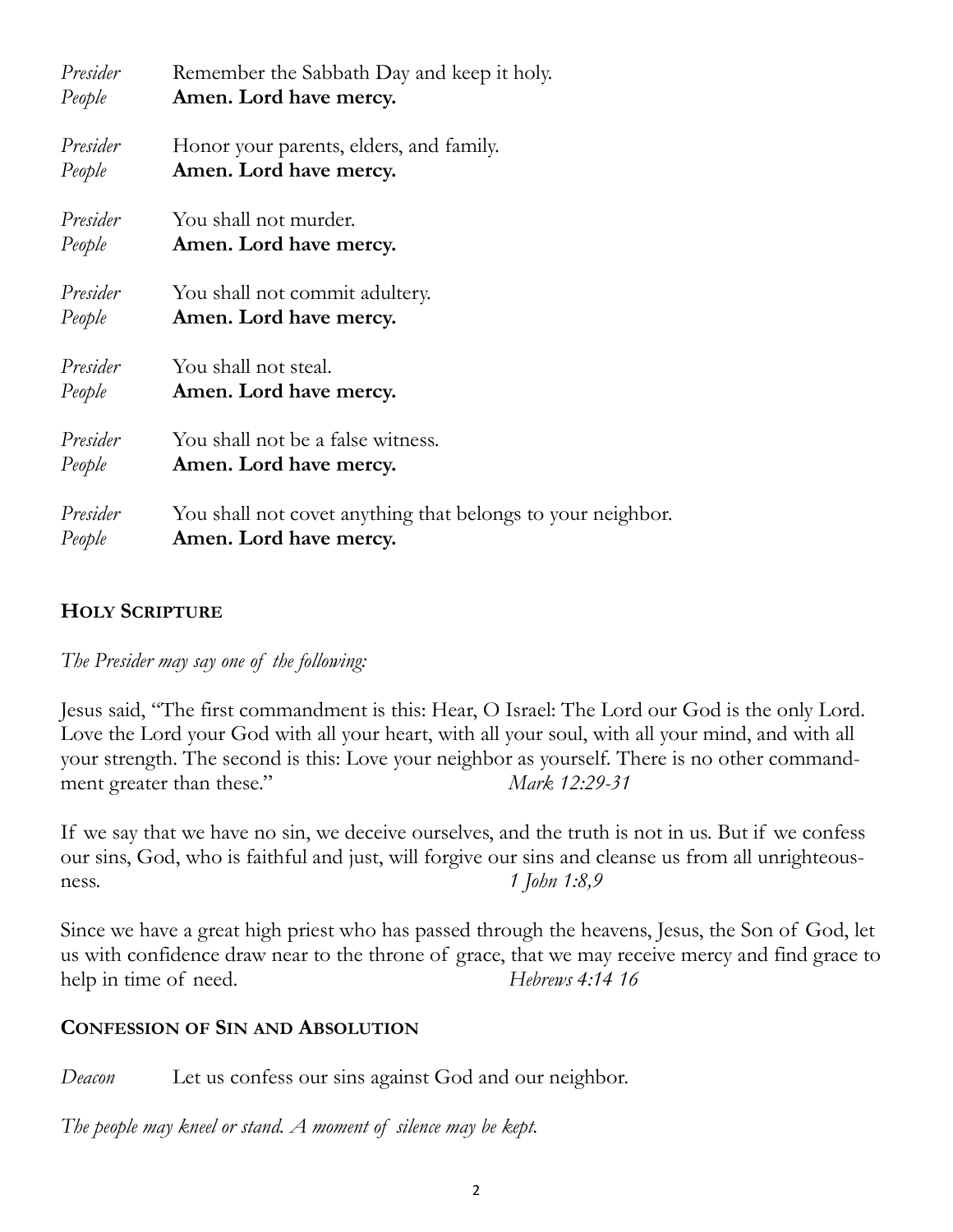| Presider | Remember the Sabbath Day and keep it holy.                  |
|----------|-------------------------------------------------------------|
| People   | Amen. Lord have mercy.                                      |
| Presider | Honor your parents, elders, and family.                     |
| People   | Amen. Lord have mercy.                                      |
| Presider | You shall not murder.                                       |
| People   | Amen. Lord have mercy.                                      |
| Presider | You shall not commit adultery.                              |
| People   | Amen. Lord have mercy.                                      |
| Presider | You shall not steal.                                        |
| People   | Amen. Lord have mercy.                                      |
| Presider | You shall not be a false witness.                           |
| People   | Amen. Lord have mercy.                                      |
| Presider | You shall not covet anything that belongs to your neighbor. |
| People   | Amen. Lord have mercy.                                      |

#### **HOLY SCRIPTURE**

*The Presider may say one of the following:*

Jesus said, "The first commandment is this: Hear, O Israel: The Lord our God is the only Lord. Love the Lord your God with all your heart, with all your soul, with all your mind, and with all your strength. The second is this: Love your neighbor as yourself. There is no other commandment greater than these." *Mark 12:29-31*

If we say that we have no sin, we deceive ourselves, and the truth is not in us. But if we confess our sins, God, who is faithful and just, will forgive our sins and cleanse us from all unrighteousness. *1 John 1:8,9*

Since we have a great high priest who has passed through the heavens, Jesus, the Son of God, let us with confidence draw near to the throne of grace, that we may receive mercy and find grace to help in time of need. *Hebrews 4:14 16* 

#### **CONFESSION OF SIN AND ABSOLUTION**

*Deacon* Let us confess our sins against God and our neighbor.

*The people may kneel or stand. A moment of silence may be kept.*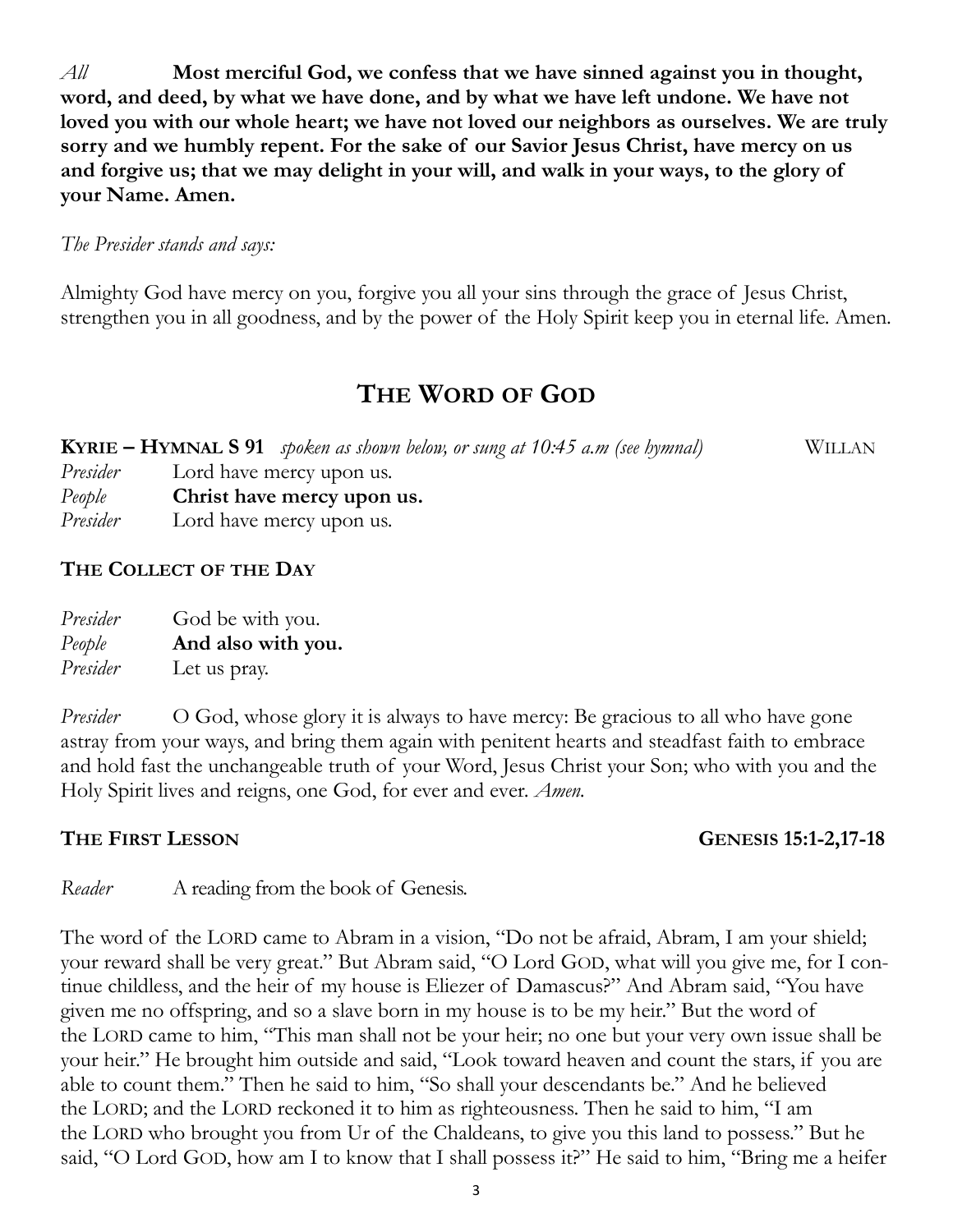*All* **Most merciful God, we confess that we have sinned against you in thought, word, and deed, by what we have done, and by what we have left undone. We have not loved you with our whole heart; we have not loved our neighbors as ourselves. We are truly sorry and we humbly repent. For the sake of our Savior Jesus Christ, have mercy on us and forgive us; that we may delight in your will, and walk in your ways, to the glory of your Name. Amen.**

#### *The Presider stands and says:*

Almighty God have mercy on you, forgive you all your sins through the grace of Jesus Christ, strengthen you in all goodness, and by the power of the Holy Spirit keep you in eternal life. Amen.

## **THE WORD OF GOD**

**KYRIE – HYMNAL S 91** *spoken as shown below, or sung at 10:45 a.m (see hymnal)* WILLAN *Presider* Lord have mercy upon us. *People* **Christ have mercy upon us.**

*Presider* Lord have mercy upon us.

#### **THE COLLECT OF THE DAY**

| Presider | God be with you.   |
|----------|--------------------|
| People   | And also with you. |
| Presider | Let us pray.       |

*Presider* O God, whose glory it is always to have mercy: Be gracious to all who have gone astray from your ways, and bring them again with penitent hearts and steadfast faith to embrace and hold fast the unchangeable truth of your Word, Jesus Christ your Son; who with you and the Holy Spirit lives and reigns, one God, for ever and ever. *Amen.*

#### **THE FIRST LESSON GENESIS 15:1-2,17-18**

*Reader* A reading from the book of Genesis.

The word of the LORD came to Abram in a vision, "Do not be afraid, Abram, I am your shield; your reward shall be very great." But Abram said, "O Lord GOD, what will you give me, for I continue childless, and the heir of my house is Eliezer of Damascus?" And Abram said, "You have given me no offspring, and so a slave born in my house is to be my heir." But the word of the LORD came to him, "This man shall not be your heir; no one but your very own issue shall be your heir." He brought him outside and said, "Look toward heaven and count the stars, if you are able to count them." Then he said to him, "So shall your descendants be." And he believed the LORD; and the LORD reckoned it to him as righteousness. Then he said to him, "I am the LORD who brought you from Ur of the Chaldeans, to give you this land to possess." But he said, "O Lord GOD, how am I to know that I shall possess it?" He said to him, "Bring me a heifer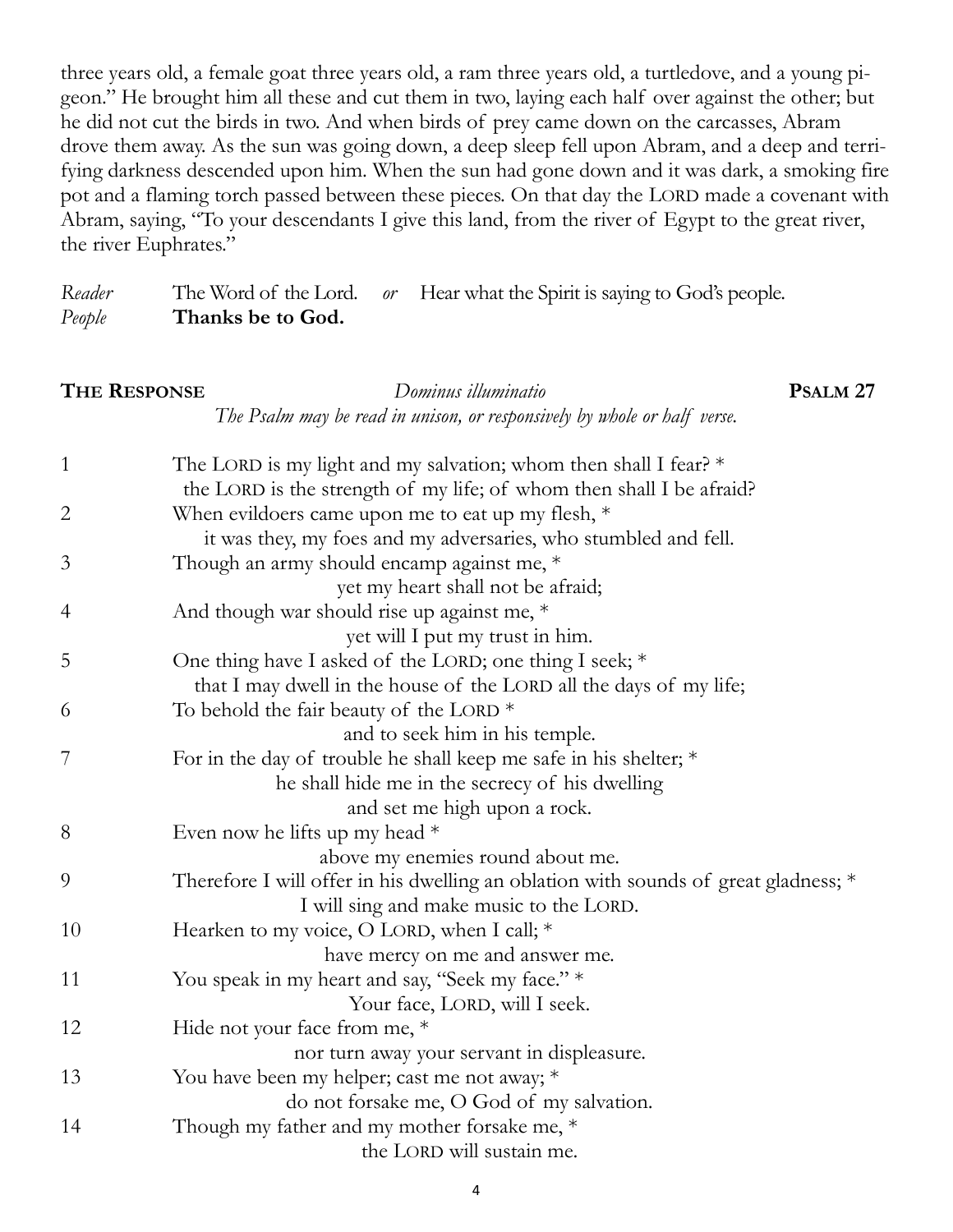three years old, a female goat three years old, a ram three years old, a turtledove, and a young pigeon." He brought him all these and cut them in two, laying each half over against the other; but he did not cut the birds in two. And when birds of prey came down on the carcasses, Abram drove them away. As the sun was going down, a deep sleep fell upon Abram, and a deep and terrifying darkness descended upon him. When the sun had gone down and it was dark, a smoking fire pot and a flaming torch passed between these pieces. On that day the LORD made a covenant with Abram, saying, "To your descendants I give this land, from the river of Egypt to the great river, the river Euphrates."

*Reader* The Word of the Lord. *or* Hear what the Spirit is saying to God's people. *People* **Thanks be to God.**

#### **THE RESPONSE** *Dominus illuminatio* **PSALM 27** *The Psalm may be read in unison, or responsively by whole or half verse.*

| $\mathbf{1}$ | The LORD is my light and my salvation; whom then shall I fear? $*$                  |
|--------------|-------------------------------------------------------------------------------------|
|              | the LORD is the strength of my life; of whom then shall I be afraid?                |
| $\mathbf{2}$ | When evildoers came upon me to eat up my flesh, $*$                                 |
|              | it was they, my foes and my adversaries, who stumbled and fell.                     |
| 3            | Though an army should encamp against me, *                                          |
|              | yet my heart shall not be afraid;                                                   |
| 4            | And though war should rise up against me, *                                         |
|              | yet will I put my trust in him.                                                     |
| 5            | One thing have I asked of the LORD; one thing I seek; *                             |
|              | that I may dwell in the house of the LORD all the days of my life;                  |
| 6            | To behold the fair beauty of the LORD $*$                                           |
|              | and to seek him in his temple.                                                      |
| 7            | For in the day of trouble he shall keep me safe in his shelter; *                   |
|              | he shall hide me in the secrecy of his dwelling                                     |
|              | and set me high upon a rock.                                                        |
| 8            | Even now he lifts up my head $*$                                                    |
|              | above my enemies round about me.                                                    |
| 9            | Therefore I will offer in his dwelling an oblation with sounds of great gladness; * |
|              | I will sing and make music to the LORD.                                             |
| 10           | Hearken to my voice, O LORD, when I call; *                                         |
|              | have mercy on me and answer me.                                                     |
| 11           | You speak in my heart and say, "Seek my face." *                                    |
|              | Your face, LORD, will I seek.                                                       |
| 12           | Hide not your face from me, *                                                       |
|              | nor turn away your servant in displeasure.                                          |
| 13           | You have been my helper; cast me not away; *                                        |
|              | do not forsake me, O God of my salvation.                                           |
| 14           | Though my father and my mother forsake me, *                                        |
|              | the LORD will sustain me.                                                           |
|              |                                                                                     |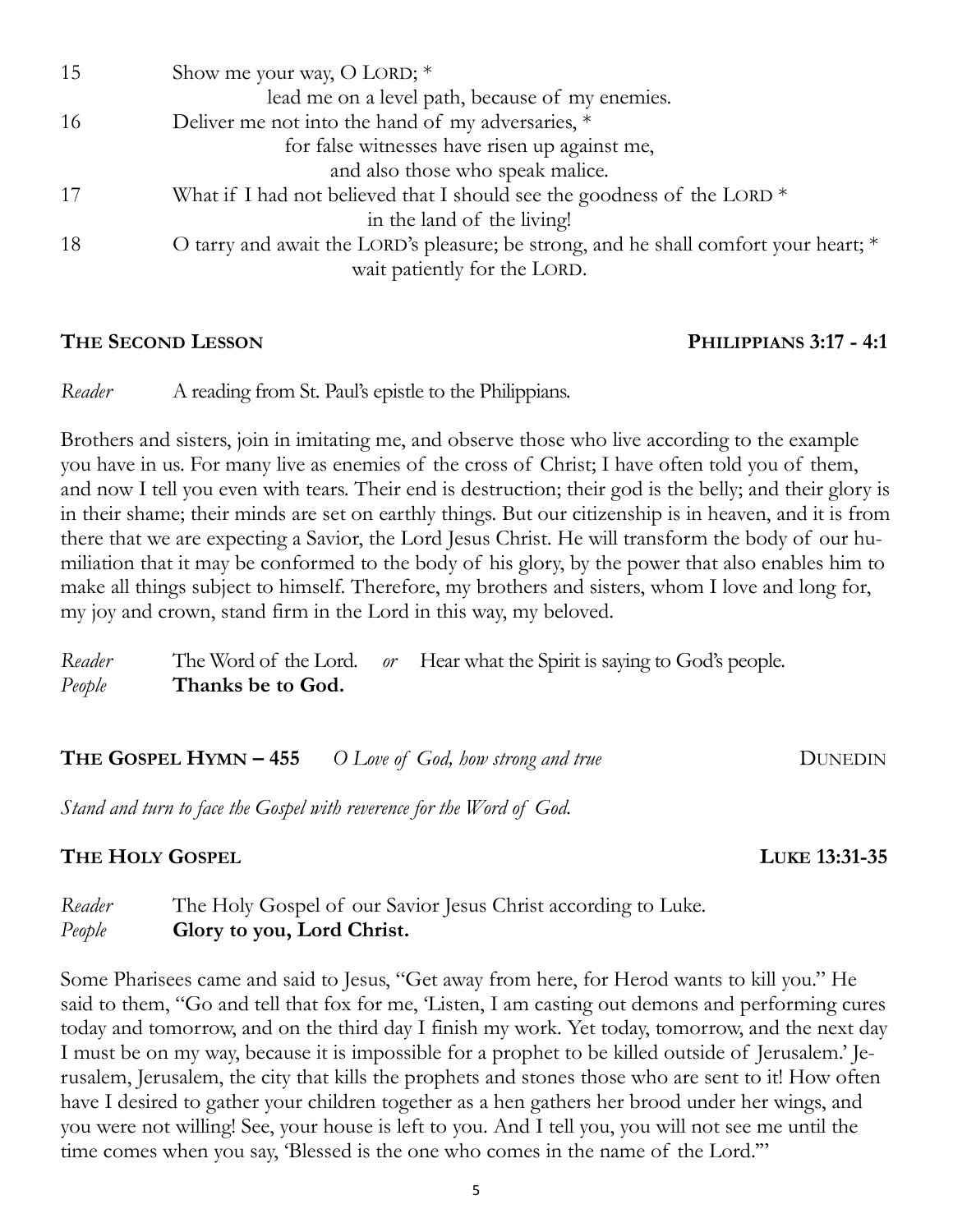| 15  | Show me your way, O LORD; $*$                                                        |
|-----|--------------------------------------------------------------------------------------|
|     | lead me on a level path, because of my enemies.                                      |
| -16 | Deliver me not into the hand of my adversaries, *                                    |
|     | for false witnesses have risen up against me,                                        |
|     | and also those who speak malice.                                                     |
|     | What if I had not believed that I should see the goodness of the LORD $*$            |
|     | in the land of the living!                                                           |
| 18  | O tarry and await the LORD's pleasure; be strong, and he shall comfort your heart; * |
|     | wait patiently for the LORD.                                                         |
|     |                                                                                      |

## **THE SECOND LESSON PHILIPPIANS 3:17 - 4:1**

*Reader* A reading from St. Paul's epistle to the Philippians.

Brothers and sisters, join in imitating me, and observe those who live according to the example you have in us. For many live as enemies of the cross of Christ; I have often told you of them, and now I tell you even with tears. Their end is destruction; their god is the belly; and their glory is in their shame; their minds are set on earthly things. But our citizenship is in heaven, and it is from there that we are expecting a Savior, the Lord Jesus Christ. He will transform the body of our humiliation that it may be conformed to the body of his glory, by the power that also enables him to make all things subject to himself. Therefore, my brothers and sisters, whom I love and long for, my joy and crown, stand firm in the Lord in this way, my beloved.

*Reader* The Word of the Lord. *or* Hear what the Spirit is saying to God's people. *People* **Thanks be to God.**

**THE GOSPEL HYMN – 455** *O Love of God, how strong and true* DUNEDIN

*Stand and turn to face the Gospel with reverence for the Word of God.*

## **THE HOLY GOSPEL LUKE 13:31-35**

*Reader* The Holy Gospel of our Savior Jesus Christ according to Luke. *People* **Glory to you, Lord Christ.**

Some Pharisees came and said to Jesus, "Get away from here, for Herod wants to kill you." He said to them, "Go and tell that fox for me, 'Listen, I am casting out demons and performing cures today and tomorrow, and on the third day I finish my work. Yet today, tomorrow, and the next day I must be on my way, because it is impossible for a prophet to be killed outside of Jerusalem.' Jerusalem, Jerusalem, the city that kills the prophets and stones those who are sent to it! How often have I desired to gather your children together as a hen gathers her brood under her wings, and you were not willing! See, your house is left to you. And I tell you, you will not see me until the time comes when you say, 'Blessed is the one who comes in the name of the Lord.'"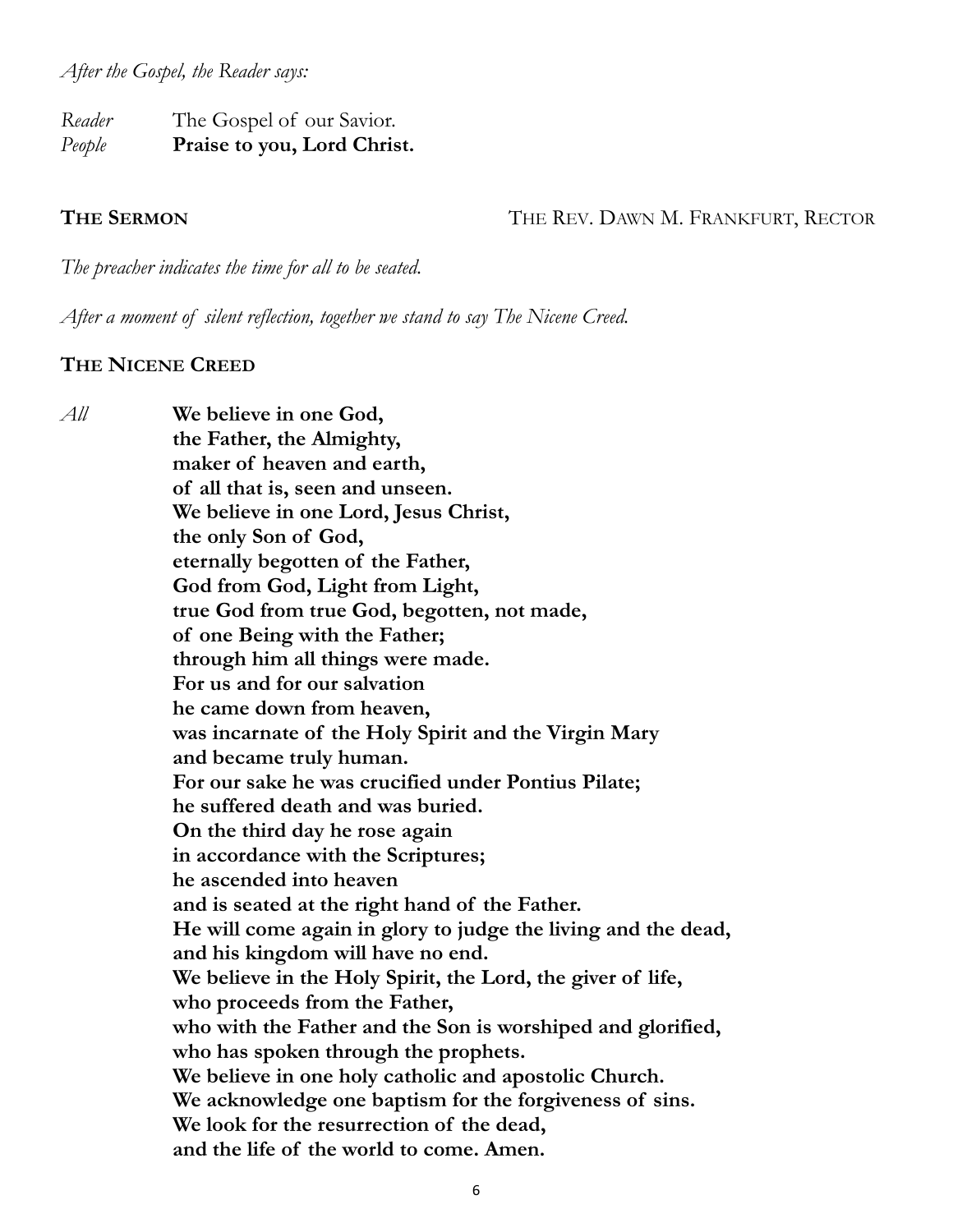*After the Gospel, the Reader says:*

*Reader* The Gospel of our Savior. *People* **Praise to you, Lord Christ.**

**THE SERMON** THE REV. DAWN M. FRANKFURT, RECTOR

*The preacher indicates the time for all to be seated.*

*After a moment of silent reflection, together we stand to say The Nicene Creed.*

#### **THE NICENE CREED**

*All* **We believe in one God, the Father, the Almighty, maker of heaven and earth, of all that is, seen and unseen. We believe in one Lord, Jesus Christ, the only Son of God, eternally begotten of the Father, God from God, Light from Light, true God from true God, begotten, not made, of one Being with the Father; through him all things were made. For us and for our salvation he came down from heaven, was incarnate of the Holy Spirit and the Virgin Mary and became truly human. For our sake he was crucified under Pontius Pilate; he suffered death and was buried. On the third day he rose again in accordance with the Scriptures; he ascended into heaven and is seated at the right hand of the Father. He will come again in glory to judge the living and the dead, and his kingdom will have no end. We believe in the Holy Spirit, the Lord, the giver of life, who proceeds from the Father, who with the Father and the Son is worshiped and glorified, who has spoken through the prophets. We believe in one holy catholic and apostolic Church. We acknowledge one baptism for the forgiveness of sins. We look for the resurrection of the dead, and the life of the world to come. Amen.**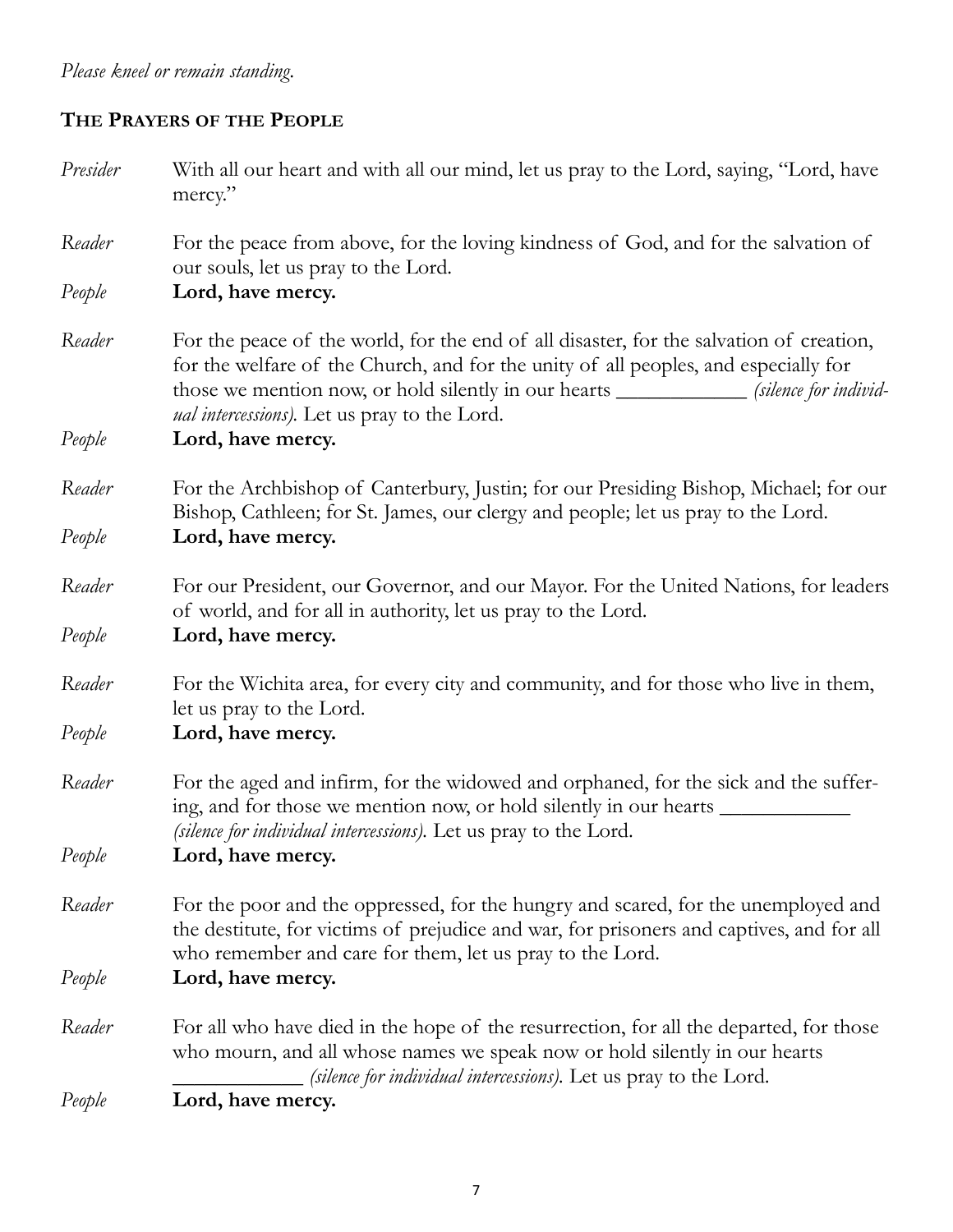# *Please kneel or remain standing.*

### **THE PRAYERS OF THE PEOPLE**

| Presider | With all our heart and with all our mind, let us pray to the Lord, saying, "Lord, have<br>mercy."                                                                                                                                                                                                                                    |
|----------|--------------------------------------------------------------------------------------------------------------------------------------------------------------------------------------------------------------------------------------------------------------------------------------------------------------------------------------|
| Reader   | For the peace from above, for the loving kindness of God, and for the salvation of<br>our souls, let us pray to the Lord.                                                                                                                                                                                                            |
| People   | Lord, have mercy.                                                                                                                                                                                                                                                                                                                    |
| Reader   | For the peace of the world, for the end of all disaster, for the salvation of creation,<br>for the welfare of the Church, and for the unity of all peoples, and especially for<br>those we mention now, or hold silently in our hearts _______________ (silence for individ-<br><i>ual intercessions</i> ). Let us pray to the Lord. |
| People   | Lord, have mercy.                                                                                                                                                                                                                                                                                                                    |
| Reader   | For the Archbishop of Canterbury, Justin; for our Presiding Bishop, Michael; for our<br>Bishop, Cathleen; for St. James, our clergy and people; let us pray to the Lord.                                                                                                                                                             |
| People   | Lord, have mercy.                                                                                                                                                                                                                                                                                                                    |
| Reader   | For our President, our Governor, and our Mayor. For the United Nations, for leaders<br>of world, and for all in authority, let us pray to the Lord.                                                                                                                                                                                  |
| People   | Lord, have mercy.                                                                                                                                                                                                                                                                                                                    |
| Reader   | For the Wichita area, for every city and community, and for those who live in them,<br>let us pray to the Lord.                                                                                                                                                                                                                      |
| People   | Lord, have mercy.                                                                                                                                                                                                                                                                                                                    |
| Reader   | For the aged and infirm, for the widowed and orphaned, for the sick and the suffer-<br>(silence for individual intercessions). Let us pray to the Lord.                                                                                                                                                                              |
| People   | Lord, have mercy.                                                                                                                                                                                                                                                                                                                    |
| Reader   | For the poor and the oppressed, for the hungry and scared, for the unemployed and<br>the destitute, for victims of prejudice and war, for prisoners and captives, and for all<br>who remember and care for them, let us pray to the Lord.                                                                                            |
| People   | Lord, have mercy.                                                                                                                                                                                                                                                                                                                    |
| Reader   | For all who have died in the hope of the resurrection, for all the departed, for those<br>who mourn, and all whose names we speak now or hold silently in our hearts<br>(silence for individual intercessions). Let us pray to the Lord.                                                                                             |
| People   | Lord, have mercy.                                                                                                                                                                                                                                                                                                                    |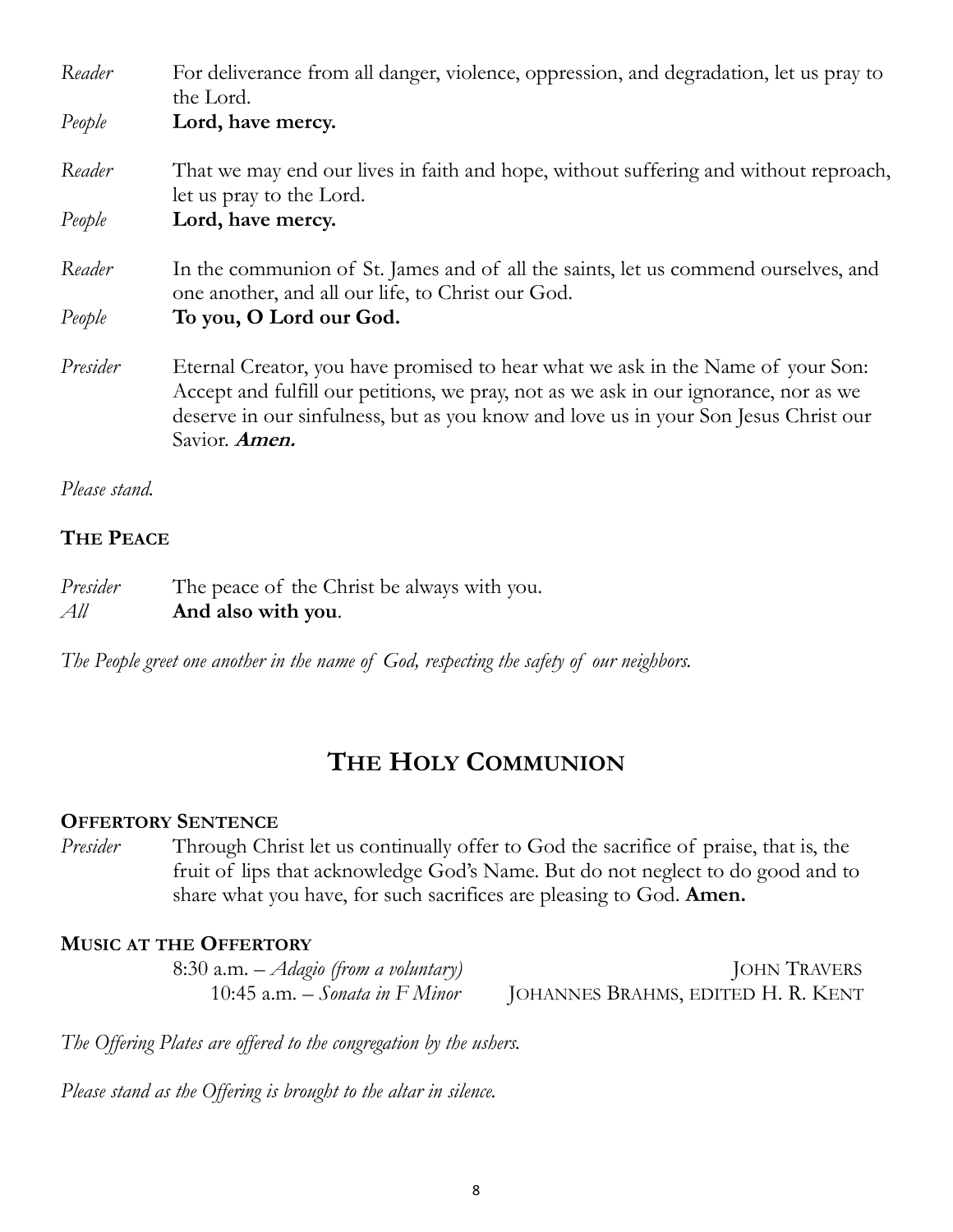| Reader        | For deliverance from all danger, violence, oppression, and degradation, let us pray to<br>the Lord.                                                                                                                                                                             |
|---------------|---------------------------------------------------------------------------------------------------------------------------------------------------------------------------------------------------------------------------------------------------------------------------------|
| People        | Lord, have mercy.                                                                                                                                                                                                                                                               |
| Reader        | That we may end our lives in faith and hope, without suffering and without reproach,<br>let us pray to the Lord.                                                                                                                                                                |
| People        | Lord, have mercy.                                                                                                                                                                                                                                                               |
| Reader        | In the communion of St. James and of all the saints, let us commend ourselves, and<br>one another, and all our life, to Christ our God.                                                                                                                                         |
| People        | To you, O Lord our God.                                                                                                                                                                                                                                                         |
| Presider      | Eternal Creator, you have promised to hear what we ask in the Name of your Son:<br>Accept and fulfill our petitions, we pray, not as we ask in our ignorance, nor as we<br>deserve in our sinfulness, but as you know and love us in your Son Jesus Christ our<br>Savior. Amen. |
| Please stand. |                                                                                                                                                                                                                                                                                 |

# **THE PEACE**

# *Presider* The peace of the Christ be always with you.

| Presiaer | The peace of the Christ be always with you |
|----------|--------------------------------------------|
| All      | And also with you.                         |

*The People greet one another in the name of God, respecting the safety of our neighbors.*

# **THE HOLY COMMUNION**

#### **OFFERTORY SENTENCE**

*Presider* Through Christ let us continually offer to God the sacrifice of praise, that is, the fruit of lips that acknowledge God's Name. But do not neglect to do good and to share what you have, for such sacrifices are pleasing to God. **Amen.**

#### **MUSIC AT THE OFFERTORY**

| 8:30 a.m. $-A$ <i>dagio (from a voluntary)</i> | <b>JOHN TRAVERS</b>                |
|------------------------------------------------|------------------------------------|
| 10:45 a.m. – Sonata in F Minor                 | JOHANNES BRAHMS, EDITED H. R. KENT |

*The Offering Plates are offered to the congregation by the ushers.* 

*Please stand as the Offering is brought to the altar in silence.*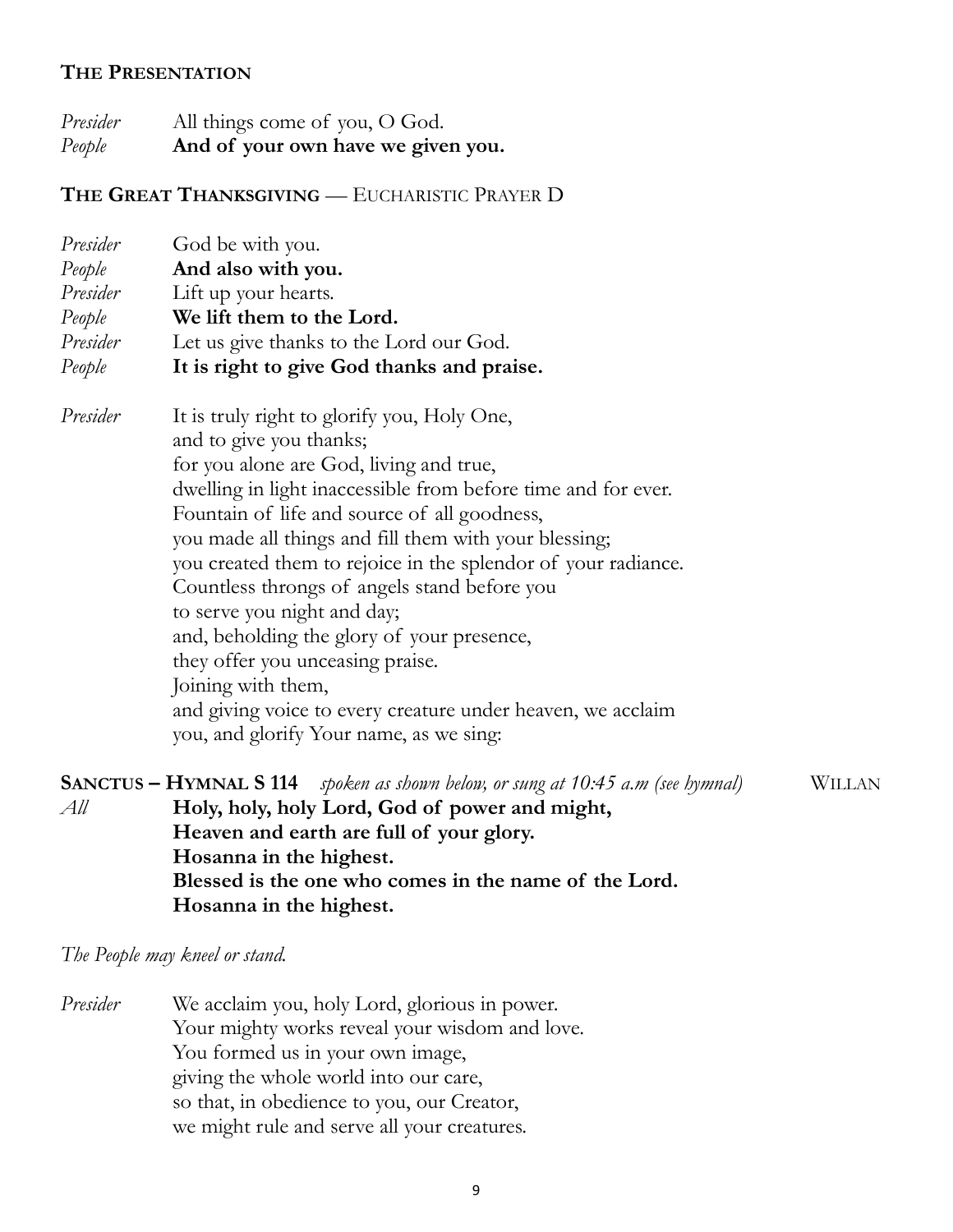#### **THE PRESENTATION**

*Presider* All things come of you, O God. *People* **And of your own have we given you.**

#### **THE GREAT THANKSGIVING** — EUCHARISTIC PRAYER D

|          | <i>Presider</i> God be with you.                              |
|----------|---------------------------------------------------------------|
| People   | And also with you.                                            |
|          | Presider Lift up your hearts.                                 |
| People   | We lift them to the Lord.                                     |
|          | Presider Let us give thanks to the Lord our God.              |
| People   | It is right to give God thanks and praise.                    |
| Presider | It is truly right to glorify you, Holy One,                   |
|          | and to give you thanks;                                       |
|          | for you alone are God, living and true,                       |
|          | dwelling in light inaccessible from before time and for ever. |
|          | Fountain of life and source of all goodness,                  |
|          | you made all things and fill them with your blessing;         |
|          | you created them to rejoice in the splendor of your radiance. |
|          | Countless throngs of angels stand before you                  |
|          | to serve you night and day;                                   |
|          | and, beholding the glory of your presence,                    |
|          | they offer you unceasing praise.                              |
|          | Joining with them,                                            |
|          | and giving voice to every creature under heaven, we acclaim   |
|          | you, and glorify Your name, as we sing:                       |
|          |                                                               |

**SANCTUS – HYMNAL S 114** *spoken as shown below, or sung at 10:45 a.m (see hymnal)* WILLAN *All* **Holy, holy, holy Lord, God of power and might, Heaven and earth are full of your glory. Hosanna in the highest. Blessed is the one who comes in the name of the Lord. Hosanna in the highest.**

#### *The People may kneel or stand.*

*Presider* We acclaim you, holy Lord, glorious in power. Your mighty works reveal your wisdom and love. You formed us in your own image, giving the whole world into our care, so that, in obedience to you, our Creator, we might rule and serve all your creatures.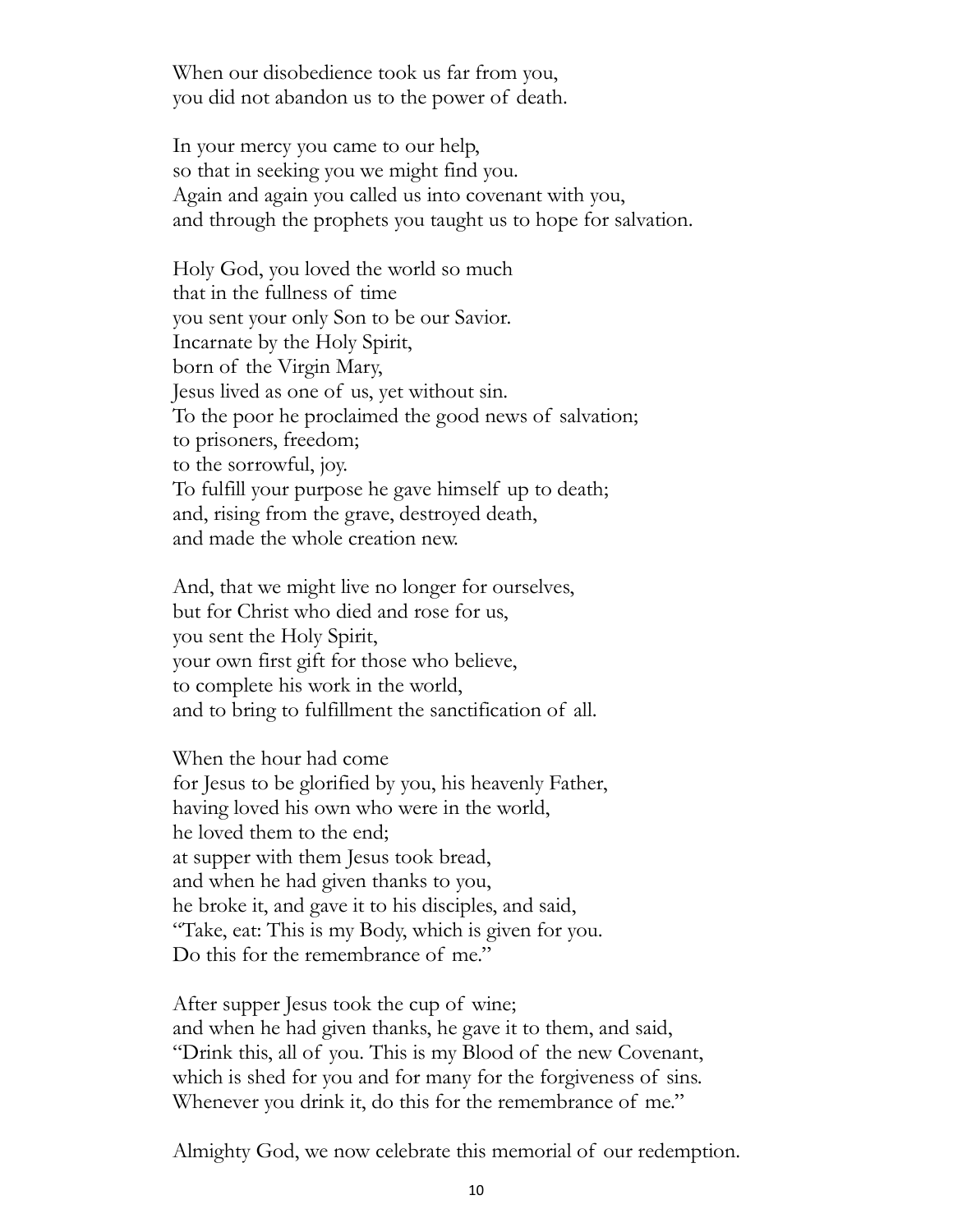When our disobedience took us far from you, you did not abandon us to the power of death.

In your mercy you came to our help, so that in seeking you we might find you. Again and again you called us into covenant with you, and through the prophets you taught us to hope for salvation.

Holy God, you loved the world so much that in the fullness of time you sent your only Son to be our Savior. Incarnate by the Holy Spirit, born of the Virgin Mary, Jesus lived as one of us, yet without sin. To the poor he proclaimed the good news of salvation; to prisoners, freedom; to the sorrowful, joy. To fulfill your purpose he gave himself up to death; and, rising from the grave, destroyed death, and made the whole creation new.

And, that we might live no longer for ourselves, but for Christ who died and rose for us, you sent the Holy Spirit, your own first gift for those who believe, to complete his work in the world, and to bring to fulfillment the sanctification of all.

When the hour had come for Jesus to be glorified by you, his heavenly Father, having loved his own who were in the world, he loved them to the end; at supper with them Jesus took bread, and when he had given thanks to you, he broke it, and gave it to his disciples, and said, "Take, eat: This is my Body, which is given for you. Do this for the remembrance of me."

After supper Jesus took the cup of wine; and when he had given thanks, he gave it to them, and said, "Drink this, all of you. This is my Blood of the new Covenant, which is shed for you and for many for the forgiveness of sins. Whenever you drink it, do this for the remembrance of me."

Almighty God, we now celebrate this memorial of our redemption.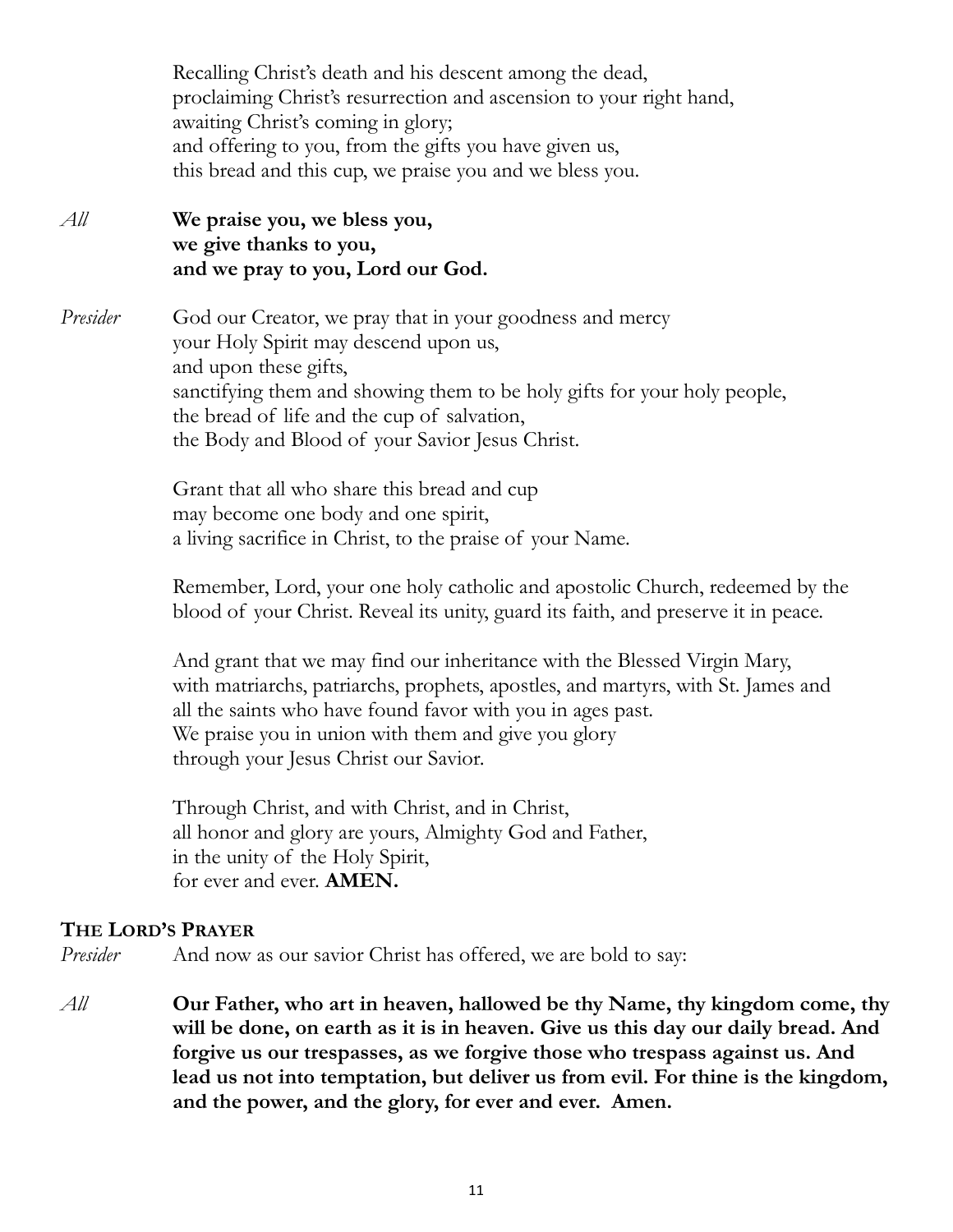Recalling Christ's death and his descent among the dead, proclaiming Christ's resurrection and ascension to your right hand, awaiting Christ's coming in glory; and offering to you, from the gifts you have given us, this bread and this cup, we praise you and we bless you.

*All* **We praise you, we bless you, we give thanks to you, and we pray to you, Lord our God.**

*Presider* God our Creator, we pray that in your goodness and mercy your Holy Spirit may descend upon us, and upon these gifts, sanctifying them and showing them to be holy gifts for your holy people, the bread of life and the cup of salvation, the Body and Blood of your Savior Jesus Christ.

> Grant that all who share this bread and cup may become one body and one spirit, a living sacrifice in Christ, to the praise of your Name.

Remember, Lord, your one holy catholic and apostolic Church, redeemed by the blood of your Christ. Reveal its unity, guard its faith, and preserve it in peace.

And grant that we may find our inheritance with the Blessed Virgin Mary, with matriarchs, patriarchs, prophets, apostles, and martyrs, with St. James and all the saints who have found favor with you in ages past. We praise you in union with them and give you glory through your Jesus Christ our Savior.

Through Christ, and with Christ, and in Christ, all honor and glory are yours, Almighty God and Father, in the unity of the Holy Spirit, for ever and ever. **AMEN.**

#### **THE LORD'S PRAYER**

*Presider* And now as our savior Christ has offered, we are bold to say:

*All* **Our Father, who art in heaven, hallowed be thy Name, thy kingdom come, thy will be done, on earth as it is in heaven. Give us this day our daily bread. And forgive us our trespasses, as we forgive those who trespass against us. And lead us not into temptation, but deliver us from evil. For thine is the kingdom, and the power, and the glory, for ever and ever. Amen.**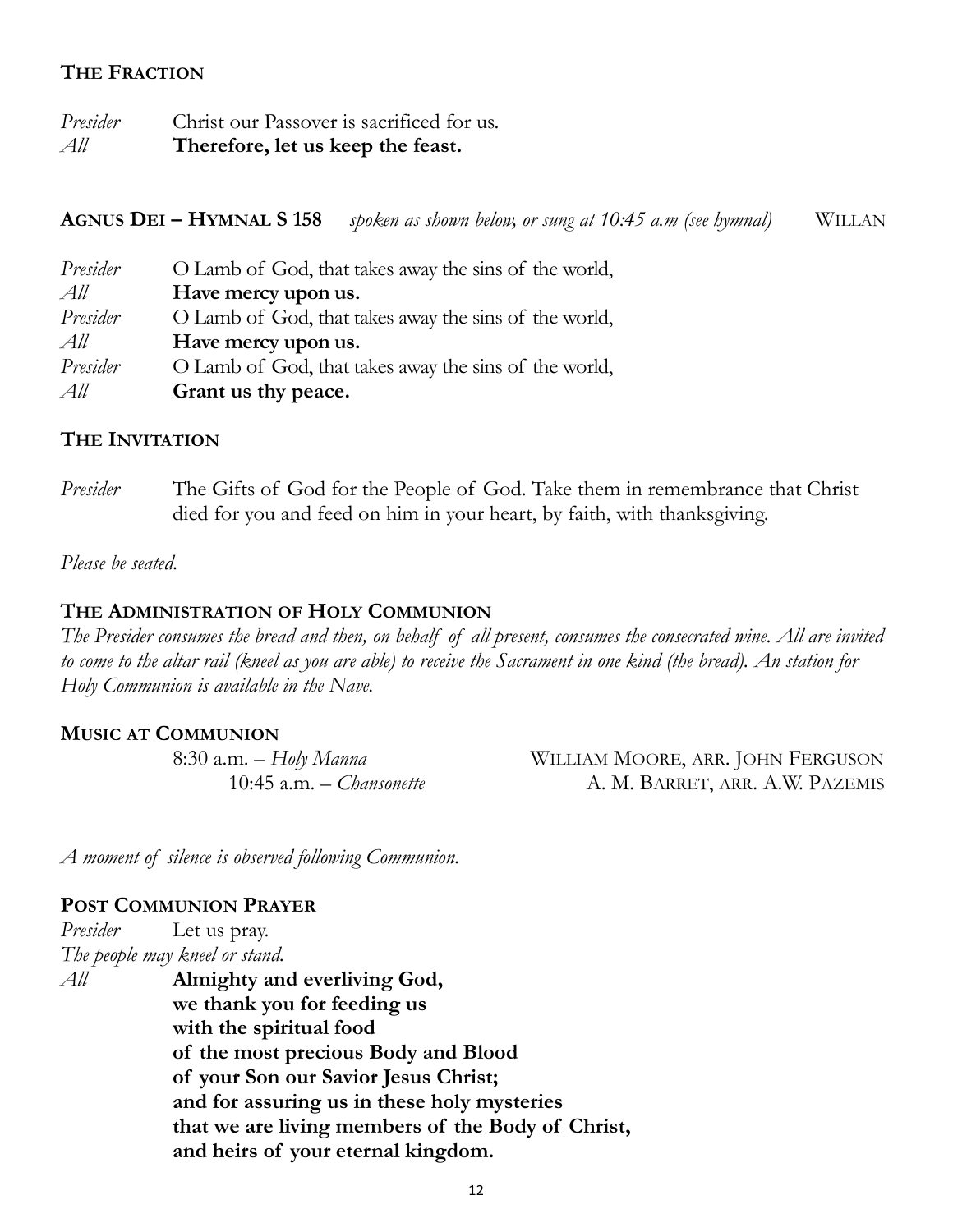#### **THE FRACTION**

*Presider* Christ our Passover is sacrificed for us. *All* **Therefore, let us keep the feast.** 

**AGNUS DEI – HYMNAL S 158** *spoken as shown below, or sung at 10:45 a.m (see hymnal)* WILLAN

| Presider | O Lamb of God, that takes away the sins of the world, |
|----------|-------------------------------------------------------|
| All      | Have mercy upon us.                                   |
| Presider | O Lamb of God, that takes away the sins of the world, |
| All      | Have mercy upon us.                                   |
| Presider | O Lamb of God, that takes away the sins of the world, |
| All      | Grant us thy peace.                                   |

#### **THE INVITATION**

*Presider* The Gifts of God for the People of God. Take them in remembrance that Christ died for you and feed on him in your heart, by faith, with thanksgiving.

*Please be seated.*

#### **THE ADMINISTRATION OF HOLY COMMUNION**

*The Presider consumes the bread and then, on behalf of all present, consumes the consecrated wine. All are invited to come to the altar rail (kneel as you are able) to receive the Sacrament in one kind (the bread). An station for Holy Communion is available in the Nave.* 

#### **MUSIC AT COMMUNION**

8:30 a.m. – *Holy Manna* WILLIAM MOORE, ARR. JOHN FERGUSON 10:45 a.m. – *Chansonette* A. M. BARRET, ARR. A.W. PAZEMIS

*A moment of silence is observed following Communion.*

#### **POST COMMUNION PRAYER**

*Presider* Let us pray. *The people may kneel or stand. All* **Almighty and everliving God, we thank you for feeding us with the spiritual food of the most precious Body and Blood of your Son our Savior Jesus Christ; and for assuring us in these holy mysteries that we are living members of the Body of Christ, and heirs of your eternal kingdom.**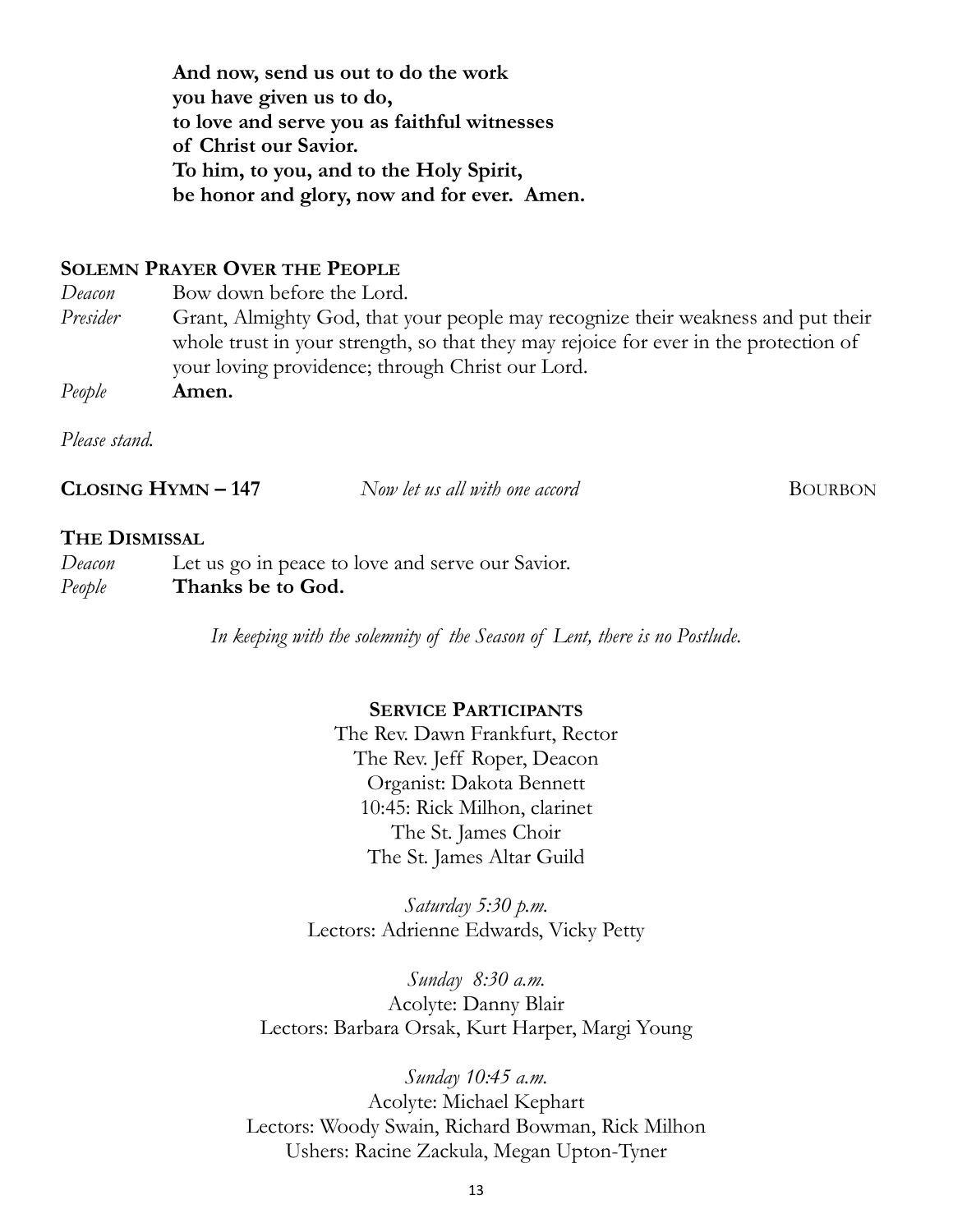**And now, send us out to do the work you have given us to do, to love and serve you as faithful witnesses of Christ our Savior. To him, to you, and to the Holy Spirit, be honor and glory, now and for ever. Amen.**

#### **SOLEMN PRAYER OVER THE PEOPLE**

*Deacon* Bow down before the Lord.

*Presider* Grant, Almighty God, that your people may recognize their weakness and put their whole trust in your strength, so that they may rejoice for ever in the protection of your loving providence; through Christ our Lord.

*People* **Amen.**

*Please stand.*

**CLOSING HYMN**  $-147$  *Now let us all with one accord* BOURBON

#### **THE DISMISSAL**

*Deacon* Let us go in peace to love and serve our Savior. *People* **Thanks be to God.**

*In keeping with the solemnity of the Season of Lent, there is no Postlude.*

#### **SERVICE PARTICIPANTS**

The Rev. Dawn Frankfurt, Rector The Rev. Jeff Roper, Deacon Organist: Dakota Bennett 10:45: Rick Milhon, clarinet The St. James Choir The St. James Altar Guild

*Saturday 5:30 p.m.* Lectors: Adrienne Edwards, Vicky Petty

*Sunday 8:30 a.m.* Acolyte: Danny Blair Lectors: Barbara Orsak, Kurt Harper, Margi Young

*Sunday 10:45 a.m.* Acolyte: Michael Kephart Lectors: Woody Swain, Richard Bowman, Rick Milhon Ushers: Racine Zackula, Megan Upton-Tyner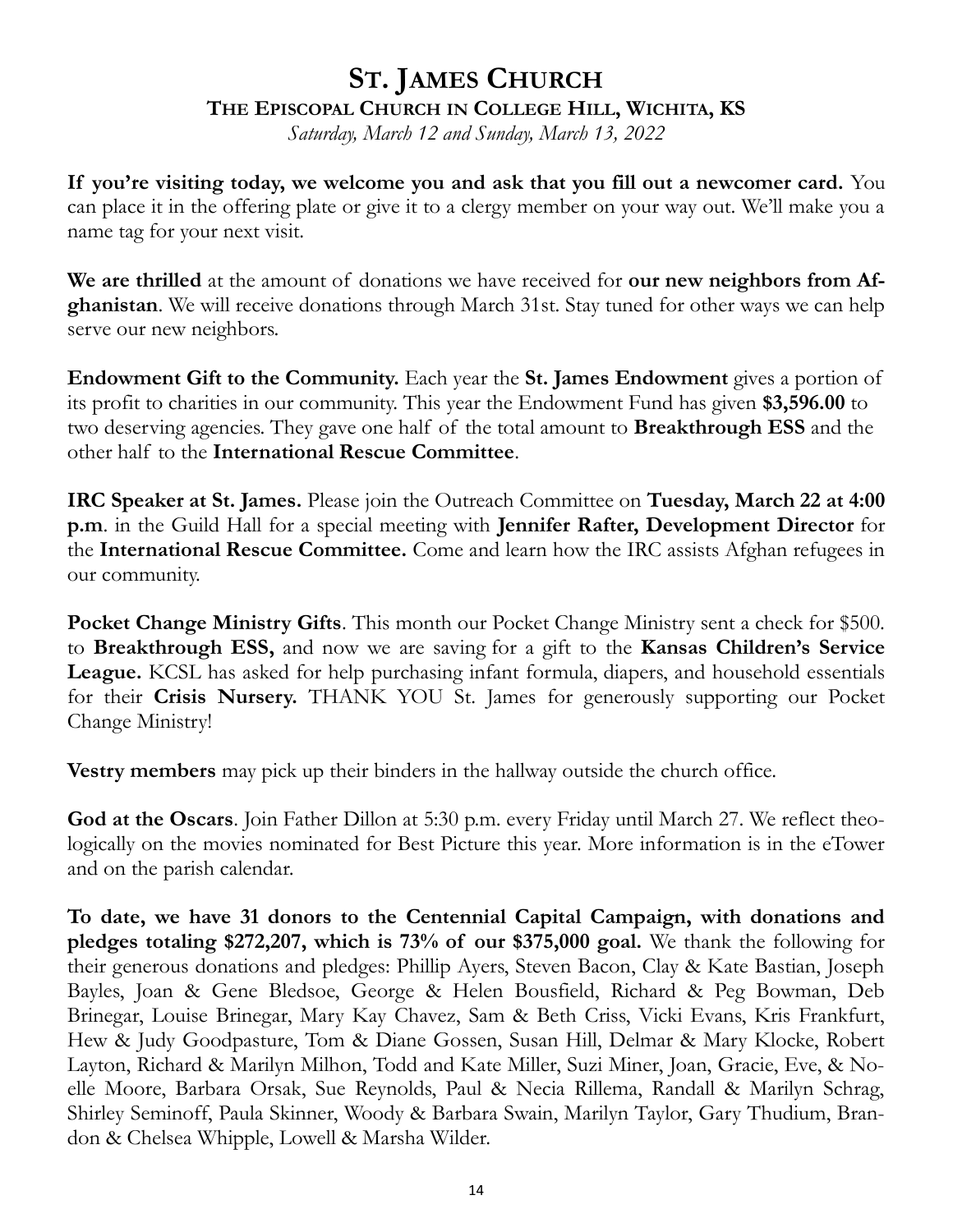# **ST. JAMES CHURCH THE EPISCOPAL CHURCH IN COLLEGE HILL, WICHITA, KS**

*Saturday, March 12 and Sunday, March 13, 2022*

**If you're visiting today, we welcome you and ask that you fill out a newcomer card.** You can place it in the offering plate or give it to a clergy member on your way out. We'll make you a name tag for your next visit.

**We are thrilled** at the amount of donations we have received for **our new neighbors from Afghanistan**. We will receive donations through March 31st. Stay tuned for other ways we can help serve our new neighbors.

**Endowment Gift to the Community.** Each year the **St. James Endowment** gives a portion of its profit to charities in our community. This year the Endowment Fund has given **\$3,596.00** to two deserving agencies. They gave one half of the total amount to **Breakthrough ESS** and the other half to the **International Rescue Committee**.

**IRC Speaker at St. James.** Please join the Outreach Committee on **Tuesday, March 22 at 4:00 p.m**. in the Guild Hall for a special meeting with **Jennifer Rafter, Development Director** for the **International Rescue Committee.** Come and learn how the IRC assists Afghan refugees in our community.

**Pocket Change Ministry Gifts**. This month our Pocket Change Ministry sent a check for \$500. to **Breakthrough ESS,** and now we are saving for a gift to the **Kansas Children's Service League.** KCSL has asked for help purchasing infant formula, diapers, and household essentials for their **Crisis Nursery.** THANK YOU St. James for generously supporting our Pocket Change Ministry!

**Vestry members** may pick up their binders in the hallway outside the church office.

**God at the Oscars**. Join Father Dillon at 5:30 p.m. every Friday until March 27. We reflect theologically on the movies nominated for Best Picture this year. More information is in the eTower and on the parish calendar.

**To date, we have 31 donors to the Centennial Capital Campaign, with donations and pledges totaling \$272,207, which is 73% of our \$375,000 goal.** We thank the following for their generous donations and pledges: Phillip Ayers, Steven Bacon, Clay & Kate Bastian, Joseph Bayles, Joan & Gene Bledsoe, George & Helen Bousfield, Richard & Peg Bowman, Deb Brinegar, Louise Brinegar, Mary Kay Chavez, Sam & Beth Criss, Vicki Evans, Kris Frankfurt, Hew & Judy Goodpasture, Tom & Diane Gossen, Susan Hill, Delmar & Mary Klocke, Robert Layton, Richard & Marilyn Milhon, Todd and Kate Miller, Suzi Miner, Joan, Gracie, Eve, & Noelle Moore, Barbara Orsak, Sue Reynolds, Paul & Necia Rillema, Randall & Marilyn Schrag, Shirley Seminoff, Paula Skinner, Woody & Barbara Swain, Marilyn Taylor, Gary Thudium, Brandon & Chelsea Whipple, Lowell & Marsha Wilder.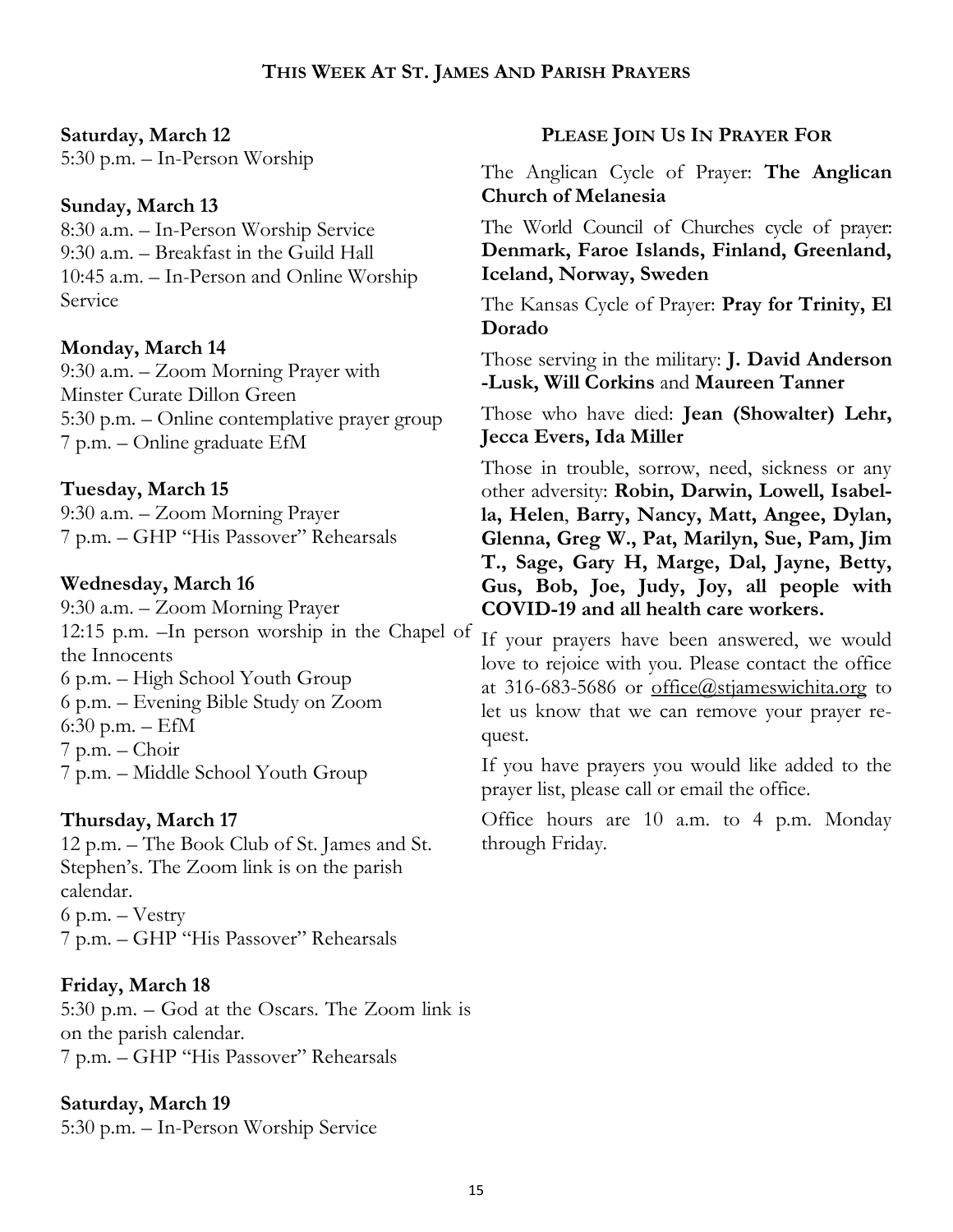#### **Saturday, March 12**

5:30 p.m. – In-Person Worship

#### **Sunday, March 13**

8:30 a.m. – In-Person Worship Service 9:30 a.m. – Breakfast in the Guild Hall 10:45 a.m. – In-Person and Online Worship Service

### **Monday, March 14**

9:30 a.m. – Zoom Morning Prayer with Minster Curate Dillon Green 5:30 p.m. – Online contemplative prayer group 7 p.m. – Online graduate EfM

### **Tuesday, March 15**

9:30 a.m. – Zoom Morning Prayer 7 p.m. – GHP "His Passover" Rehearsals

#### **Wednesday, March 16**

9:30 a.m. – Zoom Morning Prayer 12:15 p.m. –In person worship in the Chapel of the Innocents 6 p.m. – High School Youth Group 6 p.m. – Evening Bible Study on Zoom 6:30 p.m. – EfM 7 p.m. – Choir 7 p.m. – Middle School Youth Group

### **Thursday, March 17**

12 p.m. – The Book Club of St. James and St. Stephen's. The Zoom link is on the parish calendar. 6 p.m. – Vestry 7 p.m. – GHP "His Passover" Rehearsals

### **Friday, March 18**

5:30 p.m. – God at the Oscars. The Zoom link is on the parish calendar. 7 p.m. – GHP "His Passover" Rehearsals

### **Saturday, March 19**

5:30 p.m. – In-Person Worship Service

### **PLEASE JOIN US IN PRAYER FOR**

The Anglican Cycle of Prayer: **The Anglican Church of Melanesia**

The World Council of Churches cycle of prayer: **Denmark, Faroe Islands, Finland, Greenland, Iceland, Norway, Sweden**

The Kansas Cycle of Prayer: **Pray for Trinity, El Dorado**

Those serving in the military: **J. David Anderson -Lusk, Will Corkins** and **Maureen Tanner**

Those who have died: **Jean (Showalter) Lehr, Jecca Evers, Ida Miller**

Those in trouble, sorrow, need, sickness or any other adversity: **Robin, Darwin, Lowell, Isabella, Helen**, **Barry, Nancy, Matt, Angee, Dylan, Glenna, Greg W., Pat, Marilyn, Sue, Pam, Jim T., Sage, Gary H, Marge, Dal, Jayne, Betty, Gus, Bob, Joe, Judy, Joy, all people with COVID-19 and all health care workers.** 

If your prayers have been answered, we would love to rejoice with you. Please contact the office at 316-683-5686 or [office@stjameswichita.org](mailto:office@stjameswichita.org) to let us know that we can remove your prayer request.

If you have prayers you would like added to the prayer list, please call or email the office.

Office hours are 10 a.m. to 4 p.m. Monday through Friday.